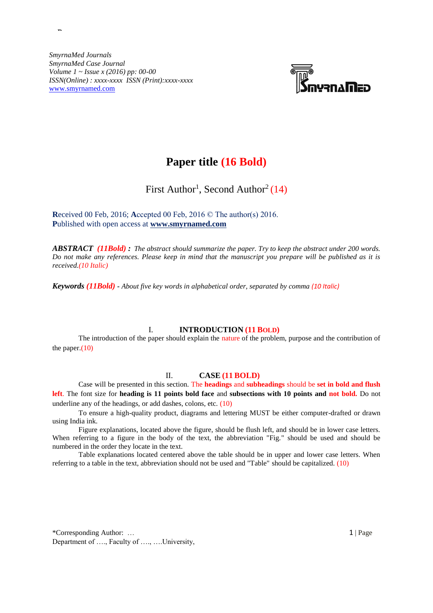*SmyrnaMed Journals SmyrnaMed Case Journal Volume 1 ~ Issue x (2016) pp: 00-00 ISSN(Online) : xxxx-xxxx ISSN (Print):xxxx-xxxx* [www.smyrnamed.com](http://www.smyrnamed.com/)

**Paper**



# **Paper title (16 Bold)**

First Author<sup>1</sup>, Second Author<sup>2</sup> (14)

**R**eceived 00 Feb, 2016; **A**ccepted 00 Feb, 2016 © The author(s) 2016. **P**ublished with open access at **www.smyrnamed.com**

*ABSTRACT (11Bold) : The abstract should summarize the paper. Try to keep the abstract under 200 words. Do not make any references. Please keep in mind that the manuscript you prepare will be published as it is received.(10 Italic)*

*Keywords (11Bold) - About five key words in alphabetical order, separated by comma (10 Italic)*

# I. **INTRODUCTION (11 BOLD)**

The introduction of the paper should explain the nature of the problem, purpose and the contribution of the paper. $(10)$ 

### II. **CASE (11 BOLD)**

Case will be presented in this section. The **headings** and **subheadings** should be **set in bold and flush left**. The font size for **heading is 11 points bold face** and **subsections with 10 points and not bold.** Do not underline any of the headings, or add dashes, colons, etc. (10)

To ensure a high-quality product, diagrams and lettering MUST be either computer-drafted or drawn using India ink.

Figure explanations, located above the figure, should be flush left, and should be in lower case letters. When referring to a figure in the body of the text, the abbreviation "Fig." should be used and should be numbered in the order they locate in the text.

Table explanations located centered above the table should be in upper and lower case letters. When referring to a table in the text, abbreviation should not be used and "Table" should be capitalized. (10)

\*Corresponding Author: … 1 | Page Department of …., Faculty of …., ….University,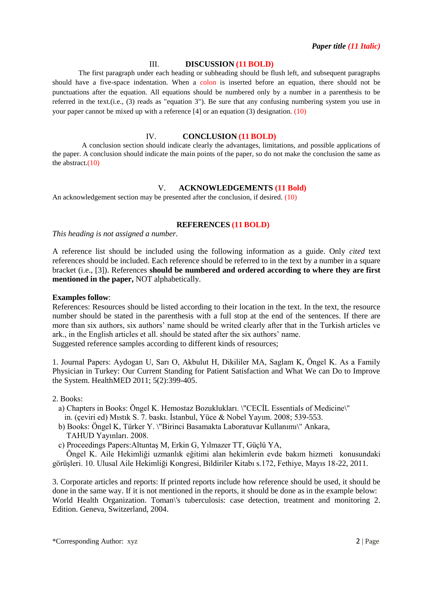### III. **DISCUSSION (11 BOLD)**

The first paragraph under each heading or subheading should be flush left, and subsequent paragraphs should have a five-space indentation. When a colon is inserted before an equation, there should not be punctuations after the equation. All equations should be numbered only by a number in a parenthesis to be referred in the text.(i.e., (3) reads as "equation 3"). Be sure that any confusing numbering system you use in your paper cannot be mixed up with a reference [4] or an equation (3) designation. (10)

# IV. **CONCLUSION (11 BOLD)**

A conclusion section should indicate clearly the advantages, limitations, and possible applications of the paper. A conclusion should indicate the main points of the paper, so do not make the conclusion the same as the abstract. $(10)$ 

# V. **ACKNOWLEDGEMENTS (11 Bold)**

An acknowledgement section may be presented after the conclusion, if desired. (10)

#### **REFERENCES (11 BOLD)**

*This heading is not assigned a number.*

A reference list should be included using the following information as a guide. Only *cited* text references should be included. Each reference should be referred to in the text by a number in a square bracket (i.e., [3]). References **should be numbered and ordered according to where they are first mentioned in the paper,** NOT alphabetically.

## **Examples follow**:

References: Resources should be listed according to their location in the text. In the text, the resource number should be stated in the parenthesis with a full stop at the end of the sentences. If there are more than six authors, six authors' name should be writed clearly after that in the Turkish articles ve ark., in the English articles et all. should be stated after the six authors' name. Suggested reference samples according to different kinds of resources;

1. Journal Papers: Aydogan U, Sarı O, Akbulut H, Dikililer MA, Saglam K, Öngel K. As a Family Physician in Turkey: Our Current Standing for Patient Satisfaction and What We can Do to Improve the System. HealthMED 2011; 5(2):399-405.

2. Books:

- a) Chapters in Books: Öngel K. Hemostaz Bozuklukları. \"CECİL Essentials of Medicine\" in. (çeviri ed) Mıstık S. 7. baskı. İstanbul, Yüce & Nobel Yayım. 2008; 539-553.
- b) Books: Öngel K, Türker Y. \"Birinci Basamakta Laboratuvar Kullanımı\" Ankara, TAHUD Yayınları. 2008.
- c) Proceedings Papers:Altuntaş M, Erkin G, Yılmazer TT, Güçlü YA,

 Öngel K. Aile Hekimliği uzmanlık eğitimi alan hekimlerin evde bakım hizmeti konusundaki görüşleri. 10. Ulusal Aile Hekimliği Kongresi, Bildiriler Kitabı s.172, Fethiye, Mayıs 18-22, 2011.

3. Corporate articles and reports: If printed reports include how reference should be used, it should be done in the same way. If it is not mentioned in the reports, it should be done as in the example below: World Health Organization. Toman\'s tuberculosis: case detection, treatment and monitoring 2. Edition. Geneva, Switzerland, 2004.